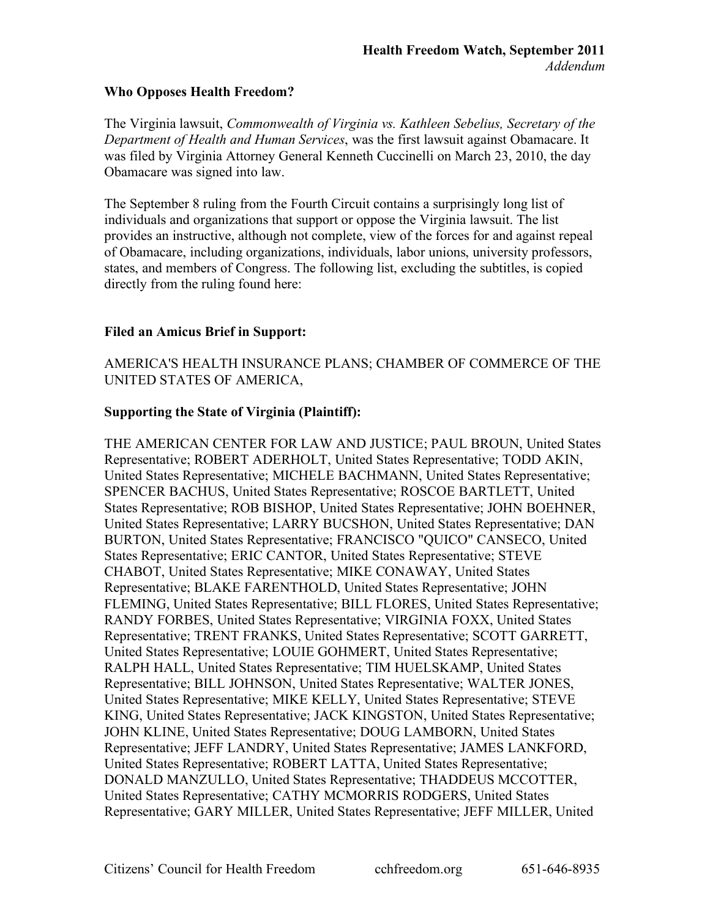## **Who Opposes Health Freedom?**

The Virginia lawsuit, *Commonwealth of Virginia vs. Kathleen Sebelius, Secretary of the Department of Health and Human Services*, was the first lawsuit against Obamacare. It was filed by Virginia Attorney General Kenneth Cuccinelli on March 23, 2010, the day Obamacare was signed into law.

The September 8 ruling from the Fourth Circuit contains a surprisingly long list of individuals and organizations that support or oppose the Virginia lawsuit. The list provides an instructive, although not complete, view of the forces for and against repeal of Obamacare, including organizations, individuals, labor unions, university professors, states, and members of Congress. The following list, excluding the subtitles, is copied directly from the ruling found here:

## **Filed an Amicus Brief in Support:**

AMERICA'S HEALTH INSURANCE PLANS; CHAMBER OF COMMERCE OF THE UNITED STATES OF AMERICA,

## **Supporting the State of Virginia (Plaintiff):**

THE AMERICAN CENTER FOR LAW AND JUSTICE; PAUL BROUN, United States Representative; ROBERT ADERHOLT, United States Representative; TODD AKIN, United States Representative; MICHELE BACHMANN, United States Representative; SPENCER BACHUS, United States Representative; ROSCOE BARTLETT, United States Representative; ROB BISHOP, United States Representative; JOHN BOEHNER, United States Representative; LARRY BUCSHON, United States Representative; DAN BURTON, United States Representative; FRANCISCO "QUICO" CANSECO, United States Representative; ERIC CANTOR, United States Representative; STEVE CHABOT, United States Representative; MIKE CONAWAY, United States Representative; BLAKE FARENTHOLD, United States Representative; JOHN FLEMING, United States Representative; BILL FLORES, United States Representative; RANDY FORBES, United States Representative; VIRGINIA FOXX, United States Representative; TRENT FRANKS, United States Representative; SCOTT GARRETT, United States Representative; LOUIE GOHMERT, United States Representative; RALPH HALL, United States Representative; TIM HUELSKAMP, United States Representative; BILL JOHNSON, United States Representative; WALTER JONES, United States Representative; MIKE KELLY, United States Representative; STEVE KING, United States Representative; JACK KINGSTON, United States Representative; JOHN KLINE, United States Representative; DOUG LAMBORN, United States Representative; JEFF LANDRY, United States Representative; JAMES LANKFORD, United States Representative; ROBERT LATTA, United States Representative; DONALD MANZULLO, United States Representative; THADDEUS MCCOTTER, United States Representative; CATHY MCMORRIS RODGERS, United States Representative; GARY MILLER, United States Representative; JEFF MILLER, United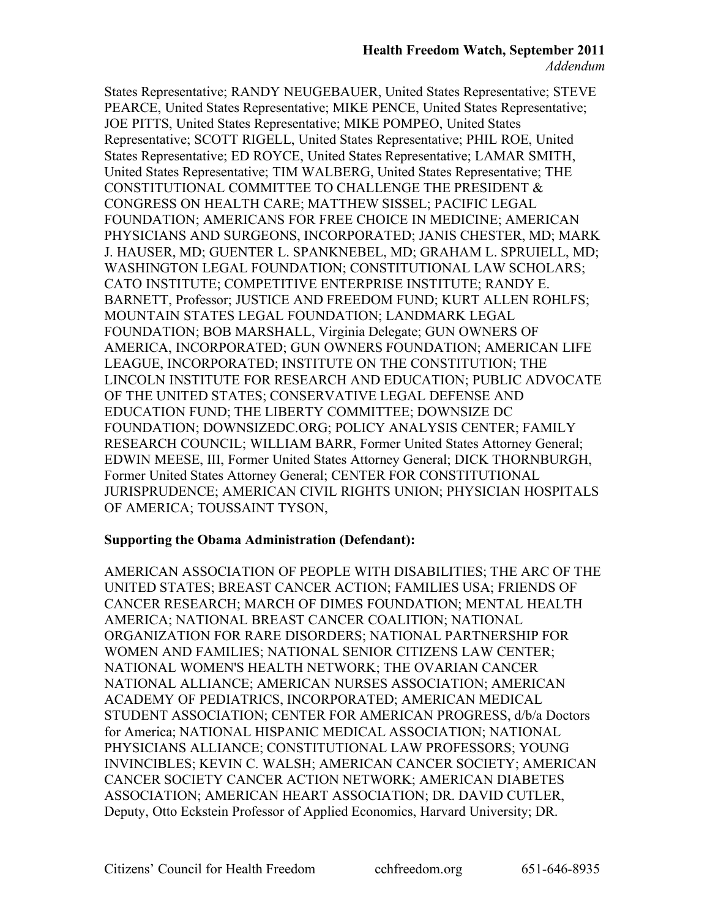States Representative; RANDY NEUGEBAUER, United States Representative; STEVE PEARCE, United States Representative; MIKE PENCE, United States Representative; JOE PITTS, United States Representative; MIKE POMPEO, United States Representative; SCOTT RIGELL, United States Representative; PHIL ROE, United States Representative; ED ROYCE, United States Representative; LAMAR SMITH, United States Representative; TIM WALBERG, United States Representative; THE CONSTITUTIONAL COMMITTEE TO CHALLENGE THE PRESIDENT & CONGRESS ON HEALTH CARE; MATTHEW SISSEL; PACIFIC LEGAL FOUNDATION; AMERICANS FOR FREE CHOICE IN MEDICINE; AMERICAN PHYSICIANS AND SURGEONS, INCORPORATED; JANIS CHESTER, MD; MARK J. HAUSER, MD; GUENTER L. SPANKNEBEL, MD; GRAHAM L. SPRUIELL, MD; WASHINGTON LEGAL FOUNDATION; CONSTITUTIONAL LAW SCHOLARS; CATO INSTITUTE; COMPETITIVE ENTERPRISE INSTITUTE; RANDY E. BARNETT, Professor; JUSTICE AND FREEDOM FUND; KURT ALLEN ROHLFS; MOUNTAIN STATES LEGAL FOUNDATION; LANDMARK LEGAL FOUNDATION; BOB MARSHALL, Virginia Delegate; GUN OWNERS OF AMERICA, INCORPORATED; GUN OWNERS FOUNDATION; AMERICAN LIFE LEAGUE, INCORPORATED; INSTITUTE ON THE CONSTITUTION; THE LINCOLN INSTITUTE FOR RESEARCH AND EDUCATION; PUBLIC ADVOCATE OF THE UNITED STATES; CONSERVATIVE LEGAL DEFENSE AND EDUCATION FUND; THE LIBERTY COMMITTEE; DOWNSIZE DC FOUNDATION; DOWNSIZEDC.ORG; POLICY ANALYSIS CENTER; FAMILY RESEARCH COUNCIL; WILLIAM BARR, Former United States Attorney General; EDWIN MEESE, III, Former United States Attorney General; DICK THORNBURGH, Former United States Attorney General; CENTER FOR CONSTITUTIONAL JURISPRUDENCE; AMERICAN CIVIL RIGHTS UNION; PHYSICIAN HOSPITALS OF AMERICA; TOUSSAINT TYSON,

## **Supporting the Obama Administration (Defendant):**

AMERICAN ASSOCIATION OF PEOPLE WITH DISABILITIES; THE ARC OF THE UNITED STATES; BREAST CANCER ACTION; FAMILIES USA; FRIENDS OF CANCER RESEARCH; MARCH OF DIMES FOUNDATION; MENTAL HEALTH AMERICA; NATIONAL BREAST CANCER COALITION; NATIONAL ORGANIZATION FOR RARE DISORDERS; NATIONAL PARTNERSHIP FOR WOMEN AND FAMILIES; NATIONAL SENIOR CITIZENS LAW CENTER; NATIONAL WOMEN'S HEALTH NETWORK; THE OVARIAN CANCER NATIONAL ALLIANCE; AMERICAN NURSES ASSOCIATION; AMERICAN ACADEMY OF PEDIATRICS, INCORPORATED; AMERICAN MEDICAL STUDENT ASSOCIATION; CENTER FOR AMERICAN PROGRESS, d/b/a Doctors for America; NATIONAL HISPANIC MEDICAL ASSOCIATION; NATIONAL PHYSICIANS ALLIANCE; CONSTITUTIONAL LAW PROFESSORS; YOUNG INVINCIBLES; KEVIN C. WALSH; AMERICAN CANCER SOCIETY; AMERICAN CANCER SOCIETY CANCER ACTION NETWORK; AMERICAN DIABETES ASSOCIATION; AMERICAN HEART ASSOCIATION; DR. DAVID CUTLER, Deputy, Otto Eckstein Professor of Applied Economics, Harvard University; DR.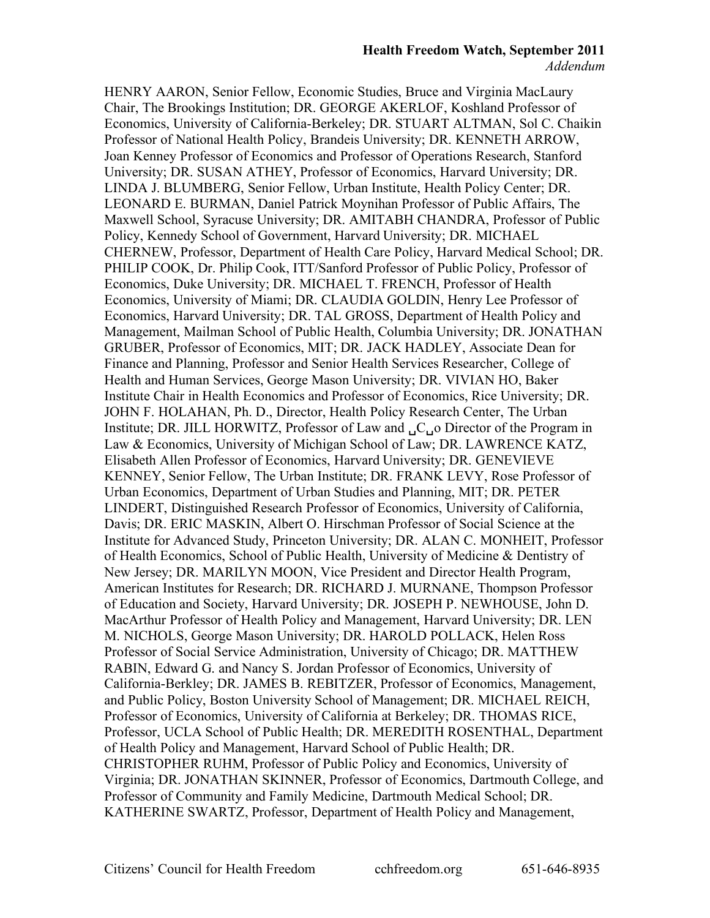HENRY AARON, Senior Fellow, Economic Studies, Bruce and Virginia MacLaury Chair, The Brookings Institution; DR. GEORGE AKERLOF, Koshland Professor of Economics, University of California-Berkeley; DR. STUART ALTMAN, Sol C. Chaikin Professor of National Health Policy, Brandeis University; DR. KENNETH ARROW, Joan Kenney Professor of Economics and Professor of Operations Research, Stanford University; DR. SUSAN ATHEY, Professor of Economics, Harvard University; DR. LINDA J. BLUMBERG, Senior Fellow, Urban Institute, Health Policy Center; DR. LEONARD E. BURMAN, Daniel Patrick Moynihan Professor of Public Affairs, The Maxwell School, Syracuse University; DR. AMITABH CHANDRA, Professor of Public Policy, Kennedy School of Government, Harvard University; DR. MICHAEL CHERNEW, Professor, Department of Health Care Policy, Harvard Medical School; DR. PHILIP COOK, Dr. Philip Cook, ITT/Sanford Professor of Public Policy, Professor of Economics, Duke University; DR. MICHAEL T. FRENCH, Professor of Health Economics, University of Miami; DR. CLAUDIA GOLDIN, Henry Lee Professor of Economics, Harvard University; DR. TAL GROSS, Department of Health Policy and Management, Mailman School of Public Health, Columbia University; DR. JONATHAN GRUBER, Professor of Economics, MIT; DR. JACK HADLEY, Associate Dean for Finance and Planning, Professor and Senior Health Services Researcher, College of Health and Human Services, George Mason University; DR. VIVIAN HO, Baker Institute Chair in Health Economics and Professor of Economics, Rice University; DR. JOHN F. HOLAHAN, Ph. D., Director, Health Policy Research Center, The Urban Institute; DR. JILL HORWITZ, Professor of Law and ␣C␣o Director of the Program in Law & Economics, University of Michigan School of Law; DR. LAWRENCE KATZ, Elisabeth Allen Professor of Economics, Harvard University; DR. GENEVIEVE KENNEY, Senior Fellow, The Urban Institute; DR. FRANK LEVY, Rose Professor of Urban Economics, Department of Urban Studies and Planning, MIT; DR. PETER LINDERT, Distinguished Research Professor of Economics, University of California, Davis; DR. ERIC MASKIN, Albert O. Hirschman Professor of Social Science at the Institute for Advanced Study, Princeton University; DR. ALAN C. MONHEIT, Professor of Health Economics, School of Public Health, University of Medicine & Dentistry of New Jersey; DR. MARILYN MOON, Vice President and Director Health Program, American Institutes for Research; DR. RICHARD J. MURNANE, Thompson Professor of Education and Society, Harvard University; DR. JOSEPH P. NEWHOUSE, John D. MacArthur Professor of Health Policy and Management, Harvard University; DR. LEN M. NICHOLS, George Mason University; DR. HAROLD POLLACK, Helen Ross Professor of Social Service Administration, University of Chicago; DR. MATTHEW RABIN, Edward G. and Nancy S. Jordan Professor of Economics, University of California-Berkley; DR. JAMES B. REBITZER, Professor of Economics, Management, and Public Policy, Boston University School of Management; DR. MICHAEL REICH, Professor of Economics, University of California at Berkeley; DR. THOMAS RICE, Professor, UCLA School of Public Health; DR. MEREDITH ROSENTHAL, Department of Health Policy and Management, Harvard School of Public Health; DR. CHRISTOPHER RUHM, Professor of Public Policy and Economics, University of Virginia; DR. JONATHAN SKINNER, Professor of Economics, Dartmouth College, and Professor of Community and Family Medicine, Dartmouth Medical School; DR. KATHERINE SWARTZ, Professor, Department of Health Policy and Management,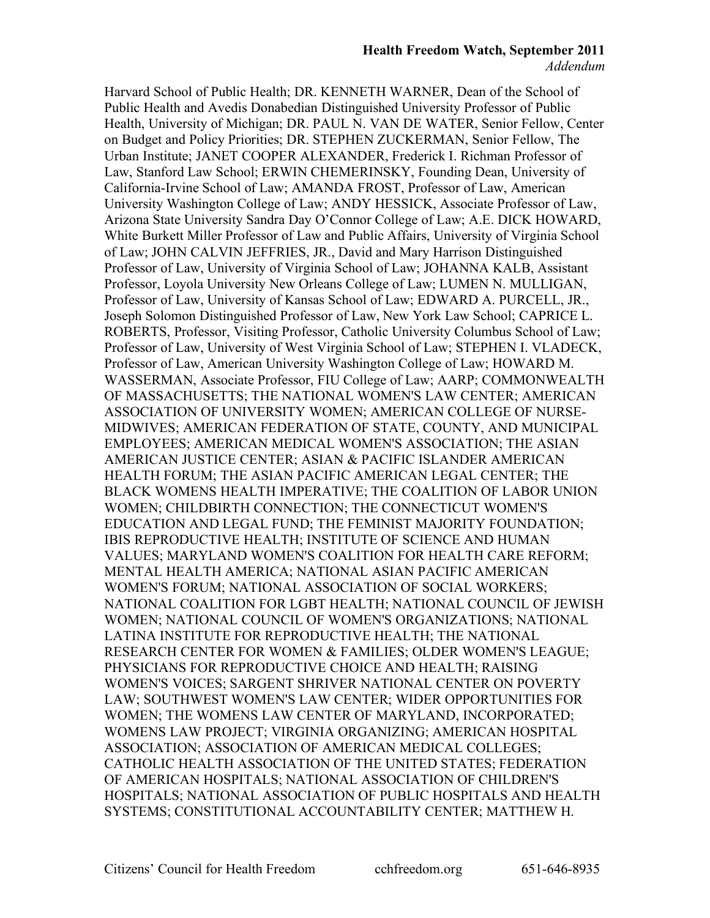Harvard School of Public Health; DR. KENNETH WARNER, Dean of the School of Public Health and Avedis Donabedian Distinguished University Professor of Public Health, University of Michigan; DR. PAUL N. VAN DE WATER, Senior Fellow, Center on Budget and Policy Priorities; DR. STEPHEN ZUCKERMAN, Senior Fellow, The Urban Institute; JANET COOPER ALEXANDER, Frederick I. Richman Professor of Law, Stanford Law School; ERWIN CHEMERINSKY, Founding Dean, University of California-Irvine School of Law; AMANDA FROST, Professor of Law, American University Washington College of Law; ANDY HESSICK, Associate Professor of Law, Arizona State University Sandra Day O'Connor College of Law; A.E. DICK HOWARD, White Burkett Miller Professor of Law and Public Affairs, University of Virginia School of Law; JOHN CALVIN JEFFRIES, JR., David and Mary Harrison Distinguished Professor of Law, University of Virginia School of Law; JOHANNA KALB, Assistant Professor, Loyola University New Orleans College of Law; LUMEN N. MULLIGAN, Professor of Law, University of Kansas School of Law; EDWARD A. PURCELL, JR., Joseph Solomon Distinguished Professor of Law, New York Law School; CAPRICE L. ROBERTS, Professor, Visiting Professor, Catholic University Columbus School of Law; Professor of Law, University of West Virginia School of Law; STEPHEN I. VLADECK, Professor of Law, American University Washington College of Law; HOWARD M. WASSERMAN, Associate Professor, FIU College of Law; AARP; COMMONWEALTH OF MASSACHUSETTS; THE NATIONAL WOMEN'S LAW CENTER; AMERICAN ASSOCIATION OF UNIVERSITY WOMEN; AMERICAN COLLEGE OF NURSE-MIDWIVES; AMERICAN FEDERATION OF STATE, COUNTY, AND MUNICIPAL EMPLOYEES; AMERICAN MEDICAL WOMEN'S ASSOCIATION; THE ASIAN AMERICAN JUSTICE CENTER; ASIAN & PACIFIC ISLANDER AMERICAN HEALTH FORUM; THE ASIAN PACIFIC AMERICAN LEGAL CENTER; THE BLACK WOMENS HEALTH IMPERATIVE; THE COALITION OF LABOR UNION WOMEN; CHILDBIRTH CONNECTION; THE CONNECTICUT WOMEN'S EDUCATION AND LEGAL FUND; THE FEMINIST MAJORITY FOUNDATION; IBIS REPRODUCTIVE HEALTH; INSTITUTE OF SCIENCE AND HUMAN VALUES; MARYLAND WOMEN'S COALITION FOR HEALTH CARE REFORM; MENTAL HEALTH AMERICA; NATIONAL ASIAN PACIFIC AMERICAN WOMEN'S FORUM; NATIONAL ASSOCIATION OF SOCIAL WORKERS; NATIONAL COALITION FOR LGBT HEALTH; NATIONAL COUNCIL OF JEWISH WOMEN; NATIONAL COUNCIL OF WOMEN'S ORGANIZATIONS; NATIONAL LATINA INSTITUTE FOR REPRODUCTIVE HEALTH; THE NATIONAL RESEARCH CENTER FOR WOMEN & FAMILIES; OLDER WOMEN'S LEAGUE; PHYSICIANS FOR REPRODUCTIVE CHOICE AND HEALTH; RAISING WOMEN'S VOICES; SARGENT SHRIVER NATIONAL CENTER ON POVERTY LAW; SOUTHWEST WOMEN'S LAW CENTER; WIDER OPPORTUNITIES FOR WOMEN; THE WOMENS LAW CENTER OF MARYLAND, INCORPORATED; WOMENS LAW PROJECT; VIRGINIA ORGANIZING; AMERICAN HOSPITAL ASSOCIATION; ASSOCIATION OF AMERICAN MEDICAL COLLEGES; CATHOLIC HEALTH ASSOCIATION OF THE UNITED STATES; FEDERATION OF AMERICAN HOSPITALS; NATIONAL ASSOCIATION OF CHILDREN'S HOSPITALS; NATIONAL ASSOCIATION OF PUBLIC HOSPITALS AND HEALTH SYSTEMS; CONSTITUTIONAL ACCOUNTABILITY CENTER; MATTHEW H.